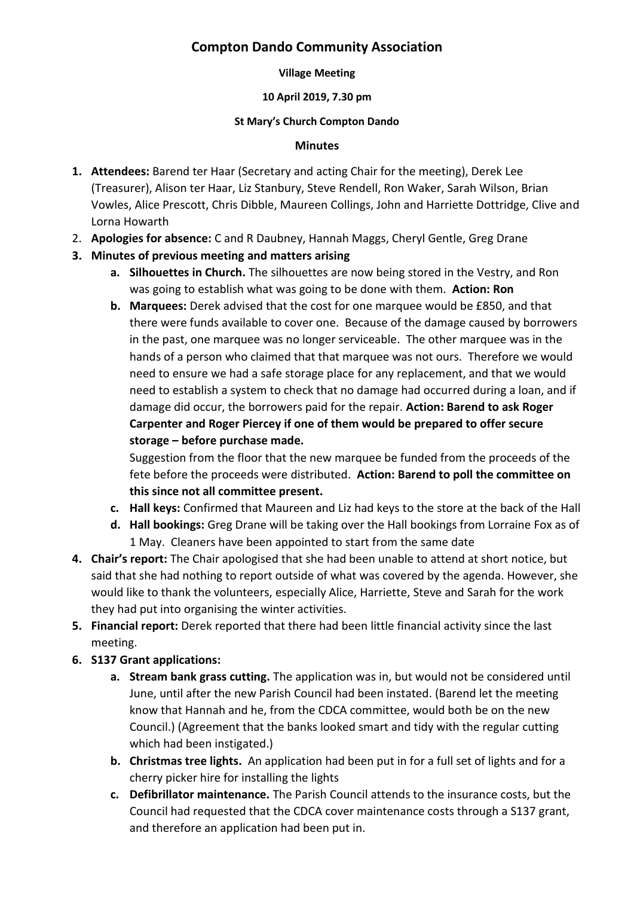# **Compton Dando Community Association**

#### **Village Meeting**

### **10 April 2019, 7.30 pm**

#### **St Mary's Church Compton Dando**

#### **Minutes**

- **1. Attendees:** Barend ter Haar (Secretary and acting Chair for the meeting), Derek Lee (Treasurer), Alison ter Haar, Liz Stanbury, Steve Rendell, Ron Waker, Sarah Wilson, Brian Vowles, Alice Prescott, Chris Dibble, Maureen Collings, John and Harriette Dottridge, Clive and Lorna Howarth
- 2. **Apologies for absence:** C and R Daubney, Hannah Maggs, Cheryl Gentle, Greg Drane
- **3. Minutes of previous meeting and matters arising**
	- **a. Silhouettes in Church.** The silhouettes are now being stored in the Vestry, and Ron was going to establish what was going to be done with them. **Action: Ron**
	- **b. Marquees:** Derek advised that the cost for one marquee would be £850, and that there were funds available to cover one. Because of the damage caused by borrowers in the past, one marquee was no longer serviceable. The other marquee was in the hands of a person who claimed that that marquee was not ours. Therefore we would need to ensure we had a safe storage place for any replacement, and that we would need to establish a system to check that no damage had occurred during a loan, and if damage did occur, the borrowers paid for the repair. **Action: Barend to ask Roger Carpenter and Roger Piercey if one of them would be prepared to offer secure storage – before purchase made.**

Suggestion from the floor that the new marquee be funded from the proceeds of the fete before the proceeds were distributed. **Action: Barend to poll the committee on this since not all committee present.**

- **c. Hall keys:** Confirmed that Maureen and Liz had keys to the store at the back of the Hall
- **d. Hall bookings:** Greg Drane will be taking over the Hall bookings from Lorraine Fox as of 1 May. Cleaners have been appointed to start from the same date
- **4. Chair's report:** The Chair apologised that she had been unable to attend at short notice, but said that she had nothing to report outside of what was covered by the agenda. However, she would like to thank the volunteers, especially Alice, Harriette, Steve and Sarah for the work they had put into organising the winter activities.
- **5. Financial report:** Derek reported that there had been little financial activity since the last meeting.
- **6. S137 Grant applications:**
	- **a. Stream bank grass cutting.** The application was in, but would not be considered until June, until after the new Parish Council had been instated. (Barend let the meeting know that Hannah and he, from the CDCA committee, would both be on the new Council.) (Agreement that the banks looked smart and tidy with the regular cutting which had been instigated.)
	- **b. Christmas tree lights.** An application had been put in for a full set of lights and for a cherry picker hire for installing the lights
	- **c. Defibrillator maintenance.** The Parish Council attends to the insurance costs, but the Council had requested that the CDCA cover maintenance costs through a S137 grant, and therefore an application had been put in.